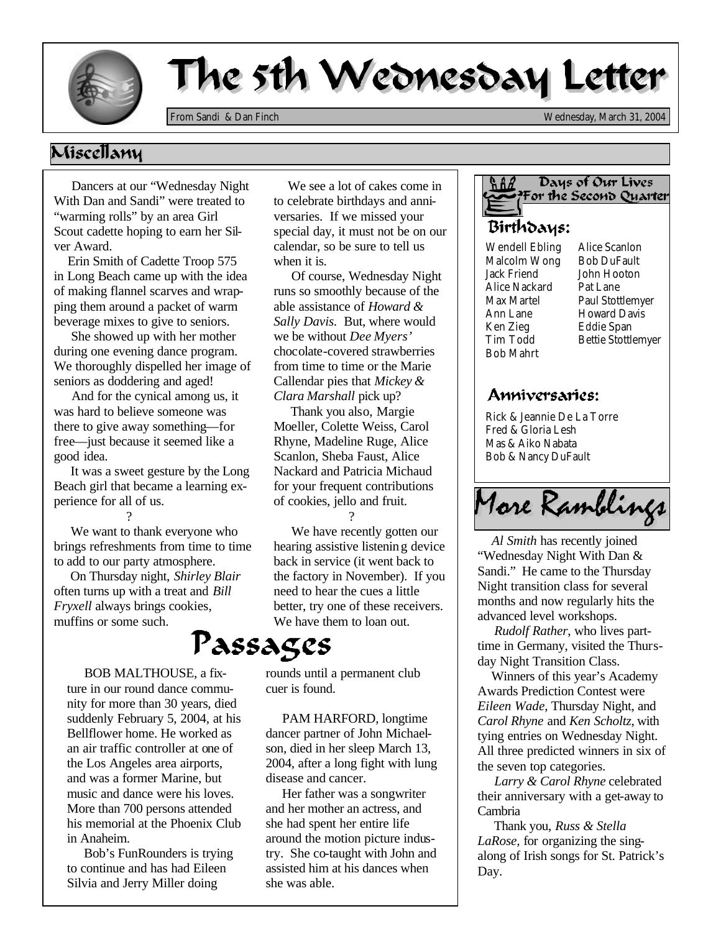

## The 5th Wednesday Letter

*From Sandi & Dan Finch Wednesday, March 31, 2004*

## Niscellany

 Dancers at our "Wednesday Night With Dan and Sandi" were treated to "warming rolls" by an area Girl Scout cadette hoping to earn her Silver Award.

 Erin Smith of Cadette Troop 575 in Long Beach came up with the idea of making flannel scarves and wrapping them around a packet of warm beverage mixes to give to seniors.

 She showed up with her mother during one evening dance program. We thoroughly dispelled her image of seniors as doddering and aged!

 And for the cynical among us, it was hard to believe someone was there to give away something—for free—just because it seemed like a good idea.

 It was a sweet gesture by the Long Beach girl that became a learning experience for all of us. ?

 We want to thank everyone who brings refreshments from time to time to add to our party atmosphere.

 On Thursday night, *Shirley Blair*  often turns up with a treat and *Bill Fryxell* always brings cookies, muffins or some such.

 BOB MALTHOUSE, a fixture in our round dance community for more than 30 years, died suddenly February 5, 2004, at his Bellflower home. He worked as an air traffic controller at one of the Los Angeles area airports, and was a former Marine, but music and dance were his loves. More than 700 persons attended his memorial at the Phoenix Club in Anaheim.

 Bob's FunRounders is trying to continue and has had Eileen Silvia and Jerry Miller doing

 We see a lot of cakes come in to celebrate birthdays and anniversaries. If we missed your special day, it must not be on our calendar, so be sure to tell us when it is.

 Of course, Wednesday Night runs so smoothly because of the able assistance of *Howard & Sally Davis.* But, where would we be without *Dee Myers'* chocolate-covered strawberries from time to time or the Marie Callendar pies that *Mickey & Clara Marshall* pick up?

 Thank you also, Margie Moeller, Colette Weiss, Carol Rhyne, Madeline Ruge, Alice Scanlon, Sheba Faust, Alice Nackard and Patricia Michaud for your frequent contributions of cookies, jello and fruit. ?

 We have recently gotten our hearing assistive listening device back in service (it went back to the factory in November). If you need to hear the cues a little better, try one of these receivers. We have them to loan out.

## Passages

rounds until a permanent club cuer is found.

 PAM HARFORD, longtime dancer partner of John Michaelson, died in her sleep March 13, 2004, after a long fight with lung disease and cancer.

 Her father was a songwriter and her mother an actress, and she had spent her entire life around the motion picture industry. She co-taught with John and assisted him at his dances when she was able.



Wendell Ebling Malcolm Wong Jack Friend Alice Nackard Max Martel Ann Lane Ken Zieg Tim Todd Bob Mahrt

Alice Scanlon Bob DuFault John Hooton Pat Lane Paul Stottlemyer Howard Davis Eddie Span Bettie Stottlemyer

## Anniversaries:

Rick & Jeannie De La Torre Fred & Gloria Lesh Mas & Aiko Nabata Bob & Nancy DuFault



*advanced level workshops. Al Smith* has recently joined "Wednesday Night With Dan & Sandi." He came to the Thursday Night transition class for several months and now regularly hits the

 *Rudolf Rather*, who lives parttime in Germany, visited the Thursday Night Transition Class.

 Winners of this year's Academy Awards Prediction Contest were *Eileen Wade*, Thursday Night, and *Carol Rhyne* and *Ken Scholtz*, with tying entries on Wednesday Night. All three predicted winners in six of the seven top categories.

 *Larry & Carol Rhyne* celebrated their anniversary with a get-away to Cambria

 Thank you, *Russ & Stella LaRose,* for organizing the singalong of Irish songs for St. Patrick's Day.